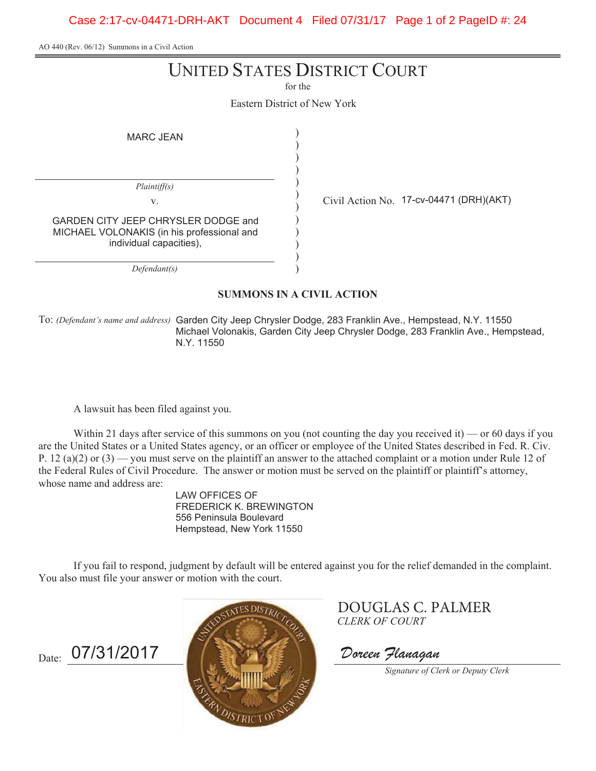Case 2:17-cv-04471-DRH-AKT Document 4 Filed 07/31/17 Page 1 of 2 PageID #: 24

AO 440 (Rev. 06/12) Summons in a Civil Action

# UNITED STATES DISTRICT COURT

for the

Eastern District of New York

)

MARC JEAN

) ) ) ) ) ) ) ) ) ) ) *Plaintiff(s) Defendant(s)* GARDEN CITY JEEP CHRYSLER DODGE and MICHAEL VOLONAKIS (in his professional and individual capacities),

v.  $\qquad \qquad \begin{array}{cc} \downarrow \qquad \text{Civil Action No.} \end{array}$  17-cv-04471 (DRH)(AKT)

**SUMMONS IN A CIVIL ACTION**

To: *(Defendant's name and address)* Garden City Jeep Chrysler Dodge, 283 Franklin Ave., Hempstead, N.Y. 11550 Michael Volonakis, Garden City Jeep Chrysler Dodge, 283 Franklin Ave., Hempstead, N.Y. 11550

A lawsuit has been filed against you.

Within 21 days after service of this summons on you (not counting the day you received it) — or 60 days if you are the United States or a United States agency, or an officer or employee of the United States described in Fed. R. Civ. P. 12 (a)(2) or (3) — you must serve on the plaintiff an answer to the attached complaint or a motion under Rule 12 of the Federal Rules of Civil Procedure. The answer or motion must be served on the plaintiff or plaintiff's attorney, whose name and address are:

> LAW OFFICES OF FREDERICK K. BREWINGTON 556 Peninsula Boulevard Hempstead, New York 11550

If you fail to respond, judgment by default will be entered against you for the relief demanded in the complaint. You also must file your answer or motion with the court.





*CLERK OF COURT* DOUGLAS C. PALMER

*Signature of Clerk or Deputy Clerk*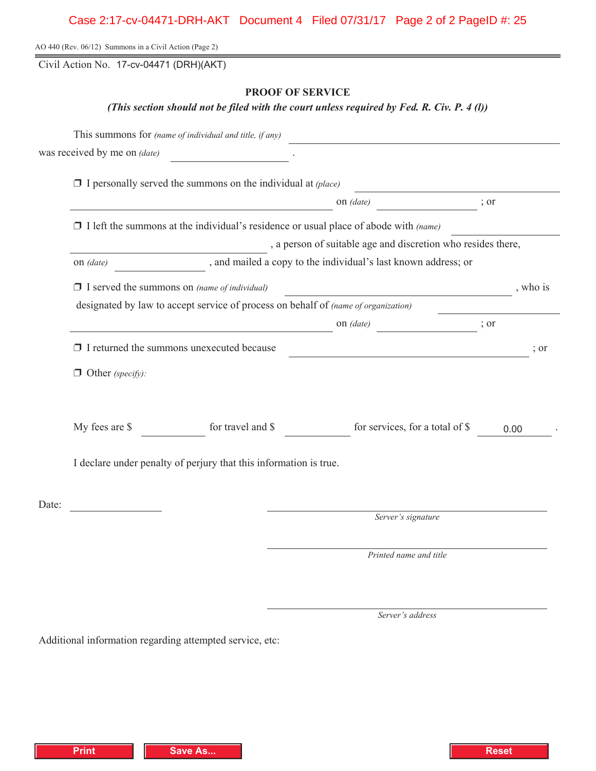AO 440 (Rev. 06/12) Summons in a Civil Action (Page 2)

Civil Action No. 17-cv-04471 (DRH)(AKT)

## **PROOF OF SERVICE**

*(This section should not be filed with the court unless required by Fed. R. Civ. P. 4 (l))*

|       |                                                                                             | was received by me on $(data)$                                      |                                 |          |  |  |  |  |  |
|-------|---------------------------------------------------------------------------------------------|---------------------------------------------------------------------|---------------------------------|----------|--|--|--|--|--|
|       |                                                                                             | $\Box$ I personally served the summons on the individual at (place) |                                 |          |  |  |  |  |  |
|       | on (date)                                                                                   |                                                                     |                                 |          |  |  |  |  |  |
|       | $\Box$ I left the summons at the individual's residence or usual place of abode with (name) |                                                                     |                                 |          |  |  |  |  |  |
|       | , a person of suitable age and discretion who resides there,                                |                                                                     |                                 |          |  |  |  |  |  |
|       | , and mailed a copy to the individual's last known address; or<br>on <i>(date)</i>          |                                                                     |                                 |          |  |  |  |  |  |
|       |                                                                                             | $\Box$ I served the summons on (name of individual)                 |                                 | , who is |  |  |  |  |  |
|       | designated by law to accept service of process on behalf of (name of organization)          |                                                                     |                                 |          |  |  |  |  |  |
|       |                                                                                             | on (date)<br>$\therefore$ or                                        |                                 |          |  |  |  |  |  |
|       | $\Box$ I returned the summons unexecuted because                                            |                                                                     |                                 |          |  |  |  |  |  |
|       | $\Box$ Other (specify):                                                                     |                                                                     |                                 |          |  |  |  |  |  |
|       | My fees are \$                                                                              | for travel and \$                                                   | for services, for a total of \$ | 0.00     |  |  |  |  |  |
|       | I declare under penalty of perjury that this information is true.                           |                                                                     |                                 |          |  |  |  |  |  |
| Date: |                                                                                             |                                                                     | Server's signature              |          |  |  |  |  |  |
|       |                                                                                             |                                                                     |                                 |          |  |  |  |  |  |
|       |                                                                                             |                                                                     | Printed name and title          |          |  |  |  |  |  |

*Server's address*

Additional information regarding attempted service, etc: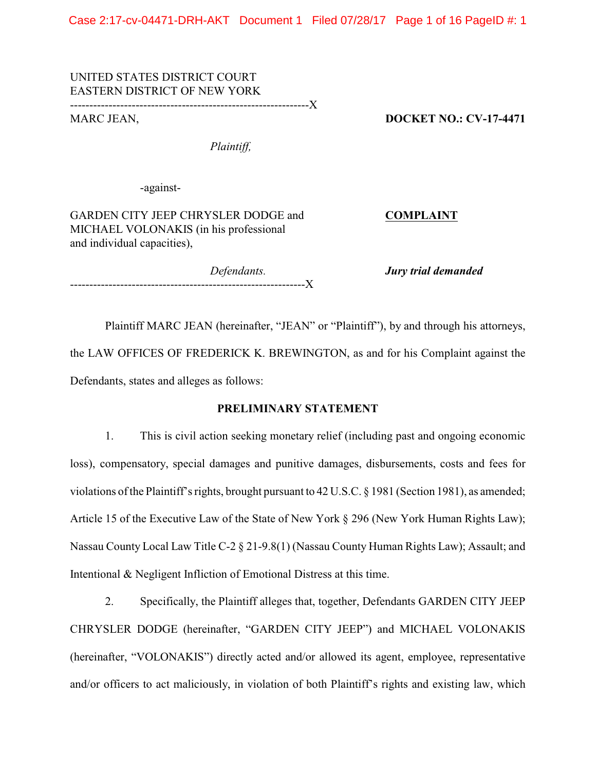Case 2:17-cv-04471-DRH-AKT Document 1 Filed 07/28/17 Page 1 of 16 PageID #: 1

## UNITED STATES DISTRICT COURT EASTERN DISTRICT OF NEW YORK

--------------------------------------------------------------X

MARC JEAN, **DOCKET NO.: CV-17-4471**

*Plaintiff,*

-against-

GARDEN CITY JEEP CHRYSLER DODGE and **COMPLAINT** MICHAEL VOLONAKIS (in his professional and individual capacities),

-------------------------------------------------------------X

*Defendants. Jury trial demanded* 

Plaintiff MARC JEAN (hereinafter, "JEAN" or "Plaintiff"), by and through his attorneys, the LAW OFFICES OF FREDERICK K. BREWINGTON, as and for his Complaint against the Defendants, states and alleges as follows:

## **PRELIMINARY STATEMENT**

1. This is civil action seeking monetary relief (including past and ongoing economic loss), compensatory, special damages and punitive damages, disbursements, costs and fees for violations of the Plaintiff's rights, brought pursuant to 42 U.S.C. § 1981 (Section 1981), as amended; Article 15 of the Executive Law of the State of New York § 296 (New York Human Rights Law); Nassau County Local Law Title C-2 § 21-9.8(1) (Nassau County Human Rights Law); Assault; and Intentional & Negligent Infliction of Emotional Distress at this time.

2. Specifically, the Plaintiff alleges that, together, Defendants GARDEN CITY JEEP CHRYSLER DODGE (hereinafter, "GARDEN CITY JEEP") and MICHAEL VOLONAKIS (hereinafter, "VOLONAKIS") directly acted and/or allowed its agent, employee, representative and/or officers to act maliciously, in violation of both Plaintiff's rights and existing law, which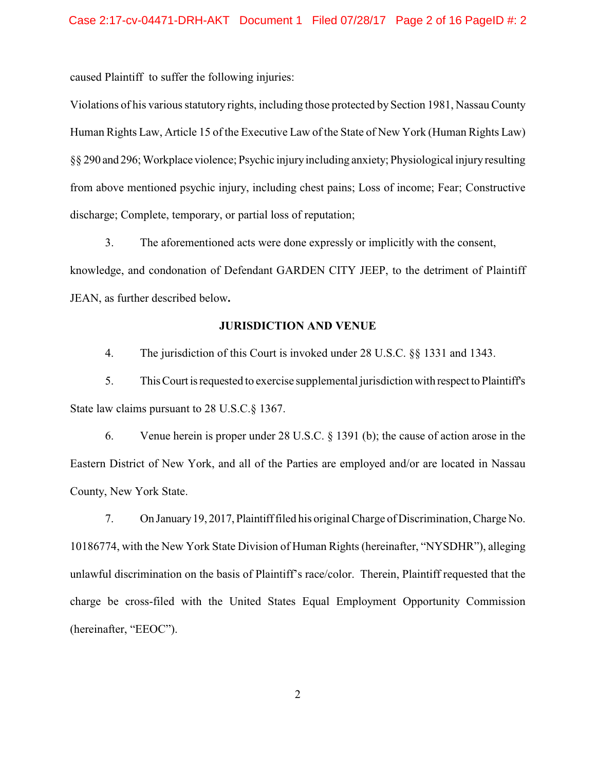caused Plaintiff to suffer the following injuries:

Violations of his various statutory rights, including those protected by Section 1981, Nassau County Human Rights Law, Article 15 of the Executive Law of the State of New York (Human Rights Law) §§ 290 and 296; Workplace violence; Psychic injury including anxiety; Physiological injury resulting from above mentioned psychic injury, including chest pains; Loss of income; Fear; Constructive discharge; Complete, temporary, or partial loss of reputation;

3. The aforementioned acts were done expressly or implicitly with the consent, knowledge, and condonation of Defendant GARDEN CITY JEEP, to the detriment of Plaintiff JEAN, as further described below**.**

#### **JURISDICTION AND VENUE**

4. The jurisdiction of this Court is invoked under 28 U.S.C. §§ 1331 and 1343.

5. This Court is requested to exercise supplemental jurisdiction with respect to Plaintiff's State law claims pursuant to 28 U.S.C.§ 1367.

6. Venue herein is proper under 28 U.S.C. § 1391 (b); the cause of action arose in the Eastern District of New York, and all of the Parties are employed and/or are located in Nassau County, New York State.

7. On January 19, 2017, Plaintiff filed his original Charge of Discrimination, Charge No. 10186774, with the New York State Division of Human Rights (hereinafter, "NYSDHR"), alleging unlawful discrimination on the basis of Plaintiff's race/color. Therein, Plaintiff requested that the charge be cross-filed with the United States Equal Employment Opportunity Commission (hereinafter, "EEOC").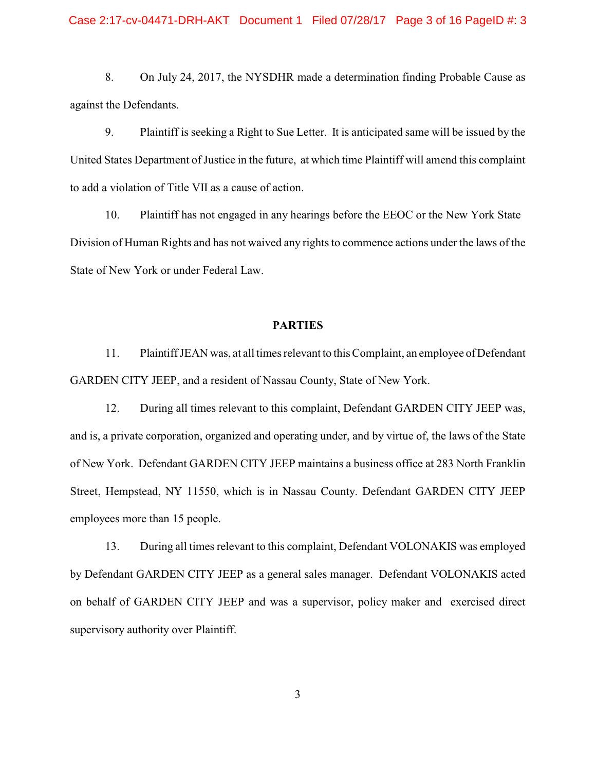#### Case 2:17-cv-04471-DRH-AKT Document 1 Filed 07/28/17 Page 3 of 16 PageID #: 3

8. On July 24, 2017, the NYSDHR made a determination finding Probable Cause as against the Defendants.

9. Plaintiff is seeking a Right to Sue Letter. It is anticipated same will be issued by the United States Department of Justice in the future, at which time Plaintiff will amend this complaint to add a violation of Title VII as a cause of action.

10. Plaintiff has not engaged in any hearings before the EEOC or the New York State Division of Human Rights and has not waived any rights to commence actions under the laws of the State of New York or under Federal Law.

#### **PARTIES**

11. Plaintiff JEAN was, at all times relevant to this Complaint, an employee of Defendant GARDEN CITY JEEP, and a resident of Nassau County, State of New York.

12. During all times relevant to this complaint, Defendant GARDEN CITY JEEP was, and is, a private corporation, organized and operating under, and by virtue of, the laws of the State of New York. Defendant GARDEN CITY JEEP maintains a business office at 283 North Franklin Street, Hempstead, NY 11550, which is in Nassau County. Defendant GARDEN CITY JEEP employees more than 15 people.

13. During all times relevant to this complaint, Defendant VOLONAKIS was employed by Defendant GARDEN CITY JEEP as a general sales manager.Defendant VOLONAKIS acted on behalf of GARDEN CITY JEEP and was a supervisor, policy maker and exercised direct supervisory authority over Plaintiff.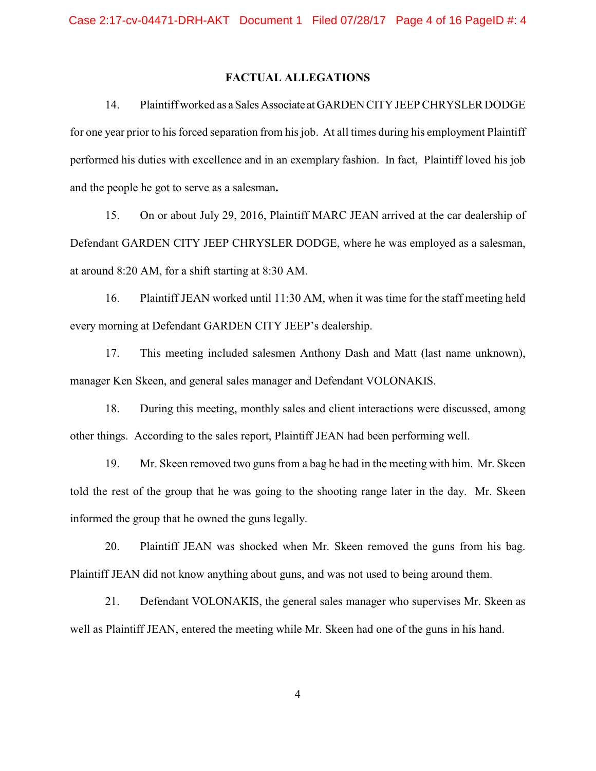#### **FACTUAL ALLEGATIONS**

14. Plaintiff worked as a Sales Associate at GARDEN CITY JEEP CHRYSLER DODGE for one year prior to his forced separation from his job. At all times during his employment Plaintiff performed his duties with excellence and in an exemplary fashion. In fact, Plaintiff loved his job and the people he got to serve as a salesman**.** 

15. On or about July 29, 2016, Plaintiff MARC JEAN arrived at the car dealership of Defendant GARDEN CITY JEEP CHRYSLER DODGE, where he was employed as a salesman, at around 8:20 AM, for a shift starting at 8:30 AM.

16. Plaintiff JEAN worked until 11:30 AM, when it was time for the staff meeting held every morning at Defendant GARDEN CITY JEEP's dealership.

17. This meeting included salesmen Anthony Dash and Matt (last name unknown), manager Ken Skeen, and general sales manager and Defendant VOLONAKIS.

18. During this meeting, monthly sales and client interactions were discussed, among other things. According to the sales report, Plaintiff JEAN had been performing well.

19. Mr. Skeen removed two guns from a bag he had in the meeting with him. Mr. Skeen told the rest of the group that he was going to the shooting range later in the day. Mr. Skeen informed the group that he owned the guns legally.

20. Plaintiff JEAN was shocked when Mr. Skeen removed the guns from his bag. Plaintiff JEAN did not know anything about guns, and was not used to being around them.

21. Defendant VOLONAKIS, the general sales manager who supervises Mr. Skeen as well as Plaintiff JEAN, entered the meeting while Mr. Skeen had one of the guns in his hand.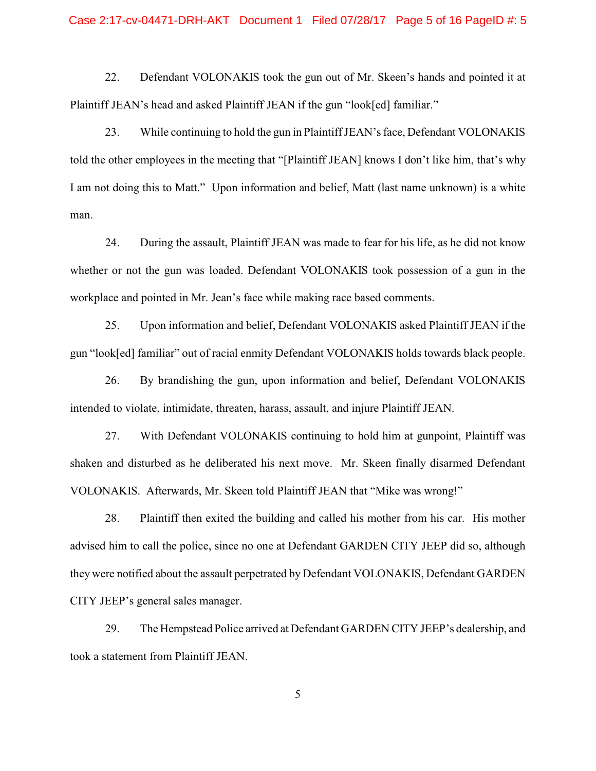#### Case 2:17-cv-04471-DRH-AKT Document 1 Filed 07/28/17 Page 5 of 16 PageID #: 5

22. Defendant VOLONAKIS took the gun out of Mr. Skeen's hands and pointed it at Plaintiff JEAN's head and asked Plaintiff JEAN if the gun "look[ed] familiar."

23. While continuing to hold the gun in PlaintiffJEAN'sface, Defendant VOLONAKIS told the other employees in the meeting that "[Plaintiff JEAN] knows I don't like him, that's why I am not doing this to Matt." Upon information and belief, Matt (last name unknown) is a white man.

24. During the assault, Plaintiff JEAN was made to fear for his life, as he did not know whether or not the gun was loaded. Defendant VOLONAKIS took possession of a gun in the workplace and pointed in Mr. Jean's face while making race based comments.

25. Upon information and belief, Defendant VOLONAKIS asked Plaintiff JEAN if the gun "look[ed] familiar" out of racial enmity Defendant VOLONAKIS holds towards black people.

26. By brandishing the gun, upon information and belief, Defendant VOLONAKIS intended to violate, intimidate, threaten, harass, assault, and injure Plaintiff JEAN.

27. With Defendant VOLONAKIS continuing to hold him at gunpoint, Plaintiff was shaken and disturbed as he deliberated his next move. Mr. Skeen finally disarmed Defendant VOLONAKIS. Afterwards, Mr. Skeen told Plaintiff JEAN that "Mike was wrong!"

28. Plaintiff then exited the building and called his mother from his car. His mother advised him to call the police, since no one at Defendant GARDEN CITY JEEP did so, although they were notified about the assault perpetrated by Defendant VOLONAKIS, Defendant GARDEN CITY JEEP's general sales manager.

29. The Hempstead Police arrived at Defendant GARDEN CITY JEEP's dealership, and took a statement from Plaintiff JEAN.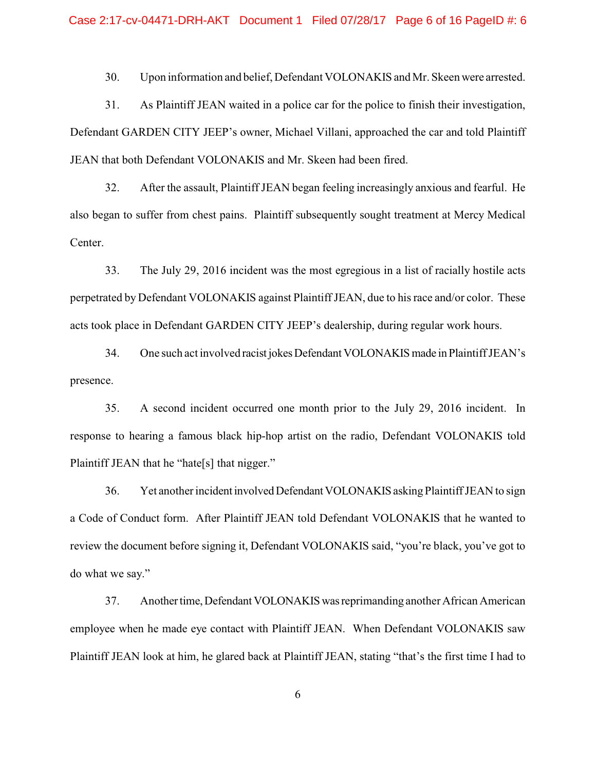30. Upon information and belief, Defendant VOLONAKIS and Mr. Skeen were arrested.

31. As Plaintiff JEAN waited in a police car for the police to finish their investigation, Defendant GARDEN CITY JEEP's owner, Michael Villani, approached the car and told Plaintiff JEAN that both Defendant VOLONAKIS and Mr. Skeen had been fired.

32. After the assault, Plaintiff JEAN began feeling increasingly anxious and fearful. He also began to suffer from chest pains. Plaintiff subsequently sought treatment at Mercy Medical Center.

33. The July 29, 2016 incident was the most egregious in a list of racially hostile acts perpetrated by Defendant VOLONAKIS against Plaintiff JEAN, due to his race and/or color. These acts took place in Defendant GARDEN CITY JEEP's dealership, during regular work hours.

34. One such act involved racist jokes Defendant VOLONAKIS made in Plaintiff JEAN's presence.

35. A second incident occurred one month prior to the July 29, 2016 incident. In response to hearing a famous black hip-hop artist on the radio, Defendant VOLONAKIS told Plaintiff JEAN that he "hate[s] that nigger."

36. Yet another incident involved Defendant VOLONAKIS asking Plaintiff JEAN to sign a Code of Conduct form. After Plaintiff JEAN told Defendant VOLONAKIS that he wanted to review the document before signing it, Defendant VOLONAKIS said, "you're black, you've got to do what we say."

37. Another time, Defendant VOLONAKIS was reprimanding another African American employee when he made eye contact with Plaintiff JEAN. When Defendant VOLONAKIS saw Plaintiff JEAN look at him, he glared back at Plaintiff JEAN, stating "that's the first time I had to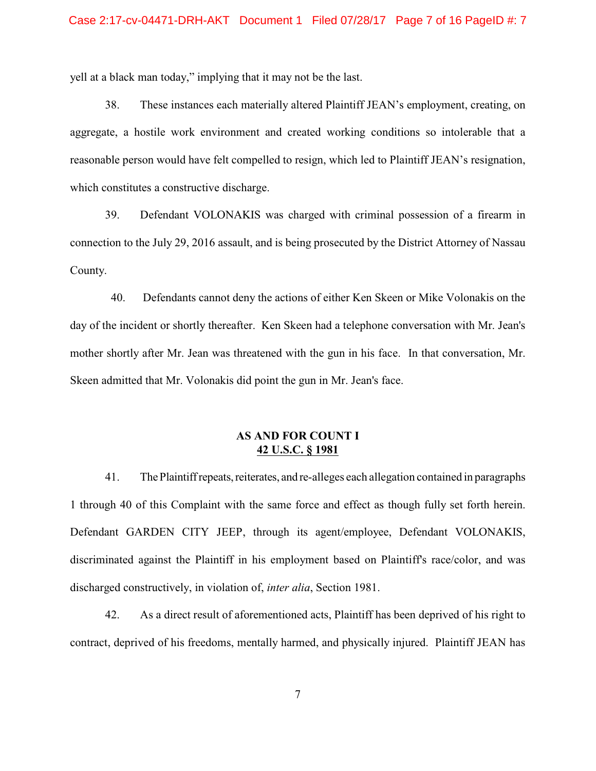yell at a black man today," implying that it may not be the last.

38. These instances each materially altered Plaintiff JEAN's employment, creating, on aggregate, a hostile work environment and created working conditions so intolerable that a reasonable person would have felt compelled to resign, which led to Plaintiff JEAN's resignation, which constitutes a constructive discharge.

39. Defendant VOLONAKIS was charged with criminal possession of a firearm in connection to the July 29, 2016 assault, and is being prosecuted by the District Attorney of Nassau County.

40. Defendants cannot deny the actions of either Ken Skeen or Mike Volonakis on the day of the incident or shortly thereafter. Ken Skeen had a telephone conversation with Mr. Jean's mother shortly after Mr. Jean was threatened with the gun in his face. In that conversation, Mr. Skeen admitted that Mr. Volonakis did point the gun in Mr. Jean's face.

## **AS AND FOR COUNT I 42 U.S.C. § 1981**

41. The Plaintiff repeats, reiterates, and re-alleges each allegation contained in paragraphs 1 through 40 of this Complaint with the same force and effect as though fully set forth herein. Defendant GARDEN CITY JEEP, through its agent/employee, Defendant VOLONAKIS, discriminated against the Plaintiff in his employment based on Plaintiff's race/color, and was discharged constructively, in violation of, *inter alia*, Section 1981.

42. As a direct result of aforementioned acts, Plaintiff has been deprived of his right to contract, deprived of his freedoms, mentally harmed, and physically injured. Plaintiff JEAN has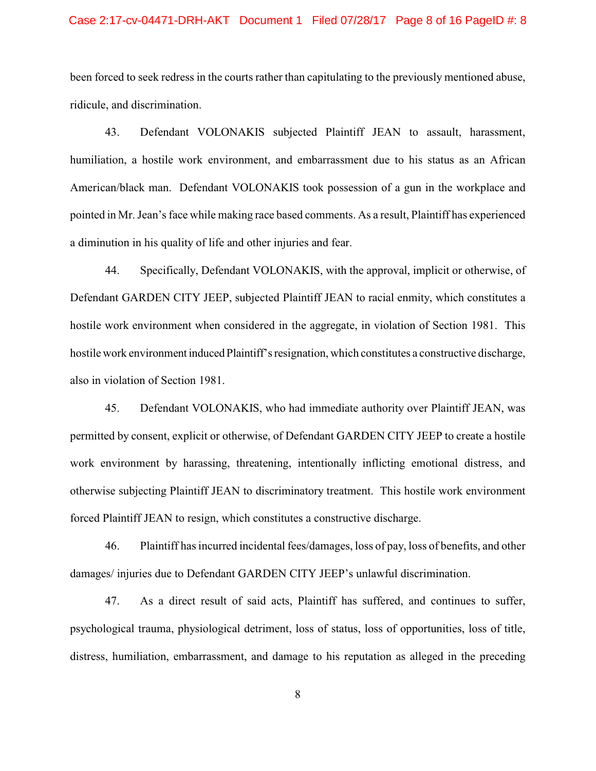#### Case 2:17-cv-04471-DRH-AKT Document 1 Filed 07/28/17 Page 8 of 16 PageID #: 8

been forced to seek redress in the courts rather than capitulating to the previously mentioned abuse, ridicule, and discrimination.

43. Defendant VOLONAKIS subjected Plaintiff JEAN to assault, harassment, humiliation, a hostile work environment, and embarrassment due to his status as an African American/black man. Defendant VOLONAKIS took possession of a gun in the workplace and pointed in Mr. Jean's face while making race based comments. As a result, Plaintiff has experienced a diminution in his quality of life and other injuries and fear.

44. Specifically, Defendant VOLONAKIS, with the approval, implicit or otherwise, of Defendant GARDEN CITY JEEP, subjected Plaintiff JEAN to racial enmity, which constitutes a hostile work environment when considered in the aggregate, in violation of Section 1981. This hostile work environment induced Plaintiff's resignation, which constitutes a constructive discharge, also in violation of Section 1981.

45. Defendant VOLONAKIS, who had immediate authority over Plaintiff JEAN, was permitted by consent, explicit or otherwise, of Defendant GARDEN CITY JEEP to create a hostile work environment by harassing, threatening, intentionally inflicting emotional distress, and otherwise subjecting Plaintiff JEAN to discriminatory treatment. This hostile work environment forced Plaintiff JEAN to resign, which constitutes a constructive discharge.

46. Plaintiff has incurred incidental fees/damages, loss of pay, loss of benefits, and other damages/ injuries due to Defendant GARDEN CITY JEEP's unlawful discrimination.

47. As a direct result of said acts, Plaintiff has suffered, and continues to suffer, psychological trauma, physiological detriment, loss of status, loss of opportunities, loss of title, distress, humiliation, embarrassment, and damage to his reputation as alleged in the preceding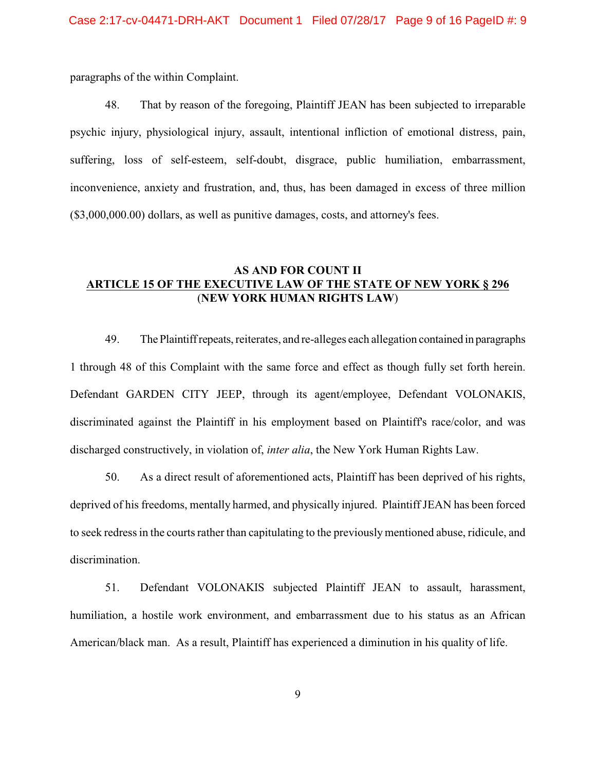paragraphs of the within Complaint.

48. That by reason of the foregoing, Plaintiff JEAN has been subjected to irreparable psychic injury, physiological injury, assault, intentional infliction of emotional distress, pain, suffering, loss of self-esteem, self-doubt, disgrace, public humiliation, embarrassment, inconvenience, anxiety and frustration, and, thus, has been damaged in excess of three million (\$3,000,000.00) dollars, as well as punitive damages, costs, and attorney's fees.

## **AS AND FOR COUNT II ARTICLE 15 OF THE EXECUTIVE LAW OF THE STATE OF NEW YORK § 296** (**NEW YORK HUMAN RIGHTS LAW**)

49. The Plaintiff repeats, reiterates, and re-alleges each allegation contained in paragraphs 1 through 48 of this Complaint with the same force and effect as though fully set forth herein. Defendant GARDEN CITY JEEP, through its agent/employee, Defendant VOLONAKIS, discriminated against the Plaintiff in his employment based on Plaintiff's race/color, and was discharged constructively, in violation of, *inter alia*, the New York Human Rights Law.

50. As a direct result of aforementioned acts, Plaintiff has been deprived of his rights, deprived of his freedoms, mentally harmed, and physically injured. Plaintiff JEAN has been forced to seek redress in the courts rather than capitulating to the previously mentioned abuse, ridicule, and discrimination.

51. Defendant VOLONAKIS subjected Plaintiff JEAN to assault, harassment, humiliation, a hostile work environment, and embarrassment due to his status as an African American/black man. As a result, Plaintiff has experienced a diminution in his quality of life.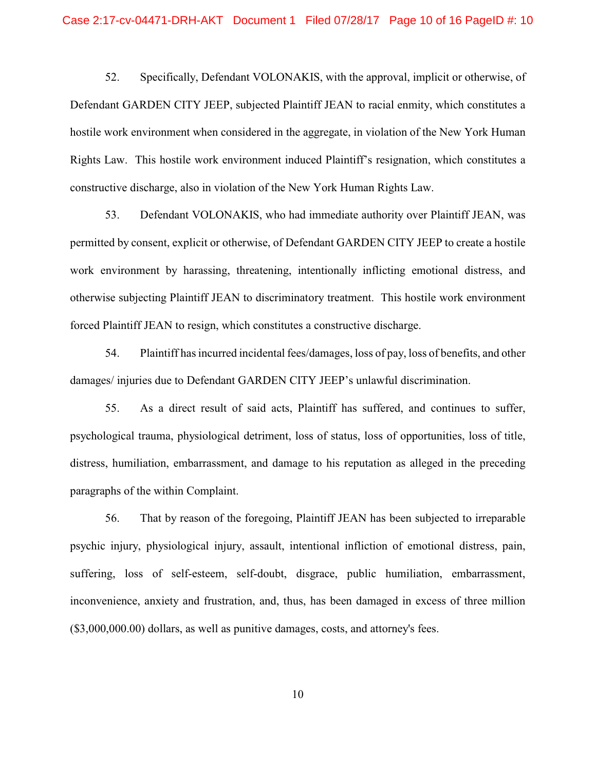52. Specifically, Defendant VOLONAKIS, with the approval, implicit or otherwise, of Defendant GARDEN CITY JEEP, subjected Plaintiff JEAN to racial enmity, which constitutes a hostile work environment when considered in the aggregate, in violation of the New York Human Rights Law. This hostile work environment induced Plaintiff's resignation, which constitutes a constructive discharge, also in violation of the New York Human Rights Law.

53. Defendant VOLONAKIS, who had immediate authority over Plaintiff JEAN, was permitted by consent, explicit or otherwise, of Defendant GARDEN CITY JEEP to create a hostile work environment by harassing, threatening, intentionally inflicting emotional distress, and otherwise subjecting Plaintiff JEAN to discriminatory treatment. This hostile work environment forced Plaintiff JEAN to resign, which constitutes a constructive discharge.

54. Plaintiff has incurred incidental fees/damages, loss of pay, loss of benefits, and other damages/ injuries due to Defendant GARDEN CITY JEEP's unlawful discrimination.

55. As a direct result of said acts, Plaintiff has suffered, and continues to suffer, psychological trauma, physiological detriment, loss of status, loss of opportunities, loss of title, distress, humiliation, embarrassment, and damage to his reputation as alleged in the preceding paragraphs of the within Complaint.

56. That by reason of the foregoing, Plaintiff JEAN has been subjected to irreparable psychic injury, physiological injury, assault, intentional infliction of emotional distress, pain, suffering, loss of self-esteem, self-doubt, disgrace, public humiliation, embarrassment, inconvenience, anxiety and frustration, and, thus, has been damaged in excess of three million (\$3,000,000.00) dollars, as well as punitive damages, costs, and attorney's fees.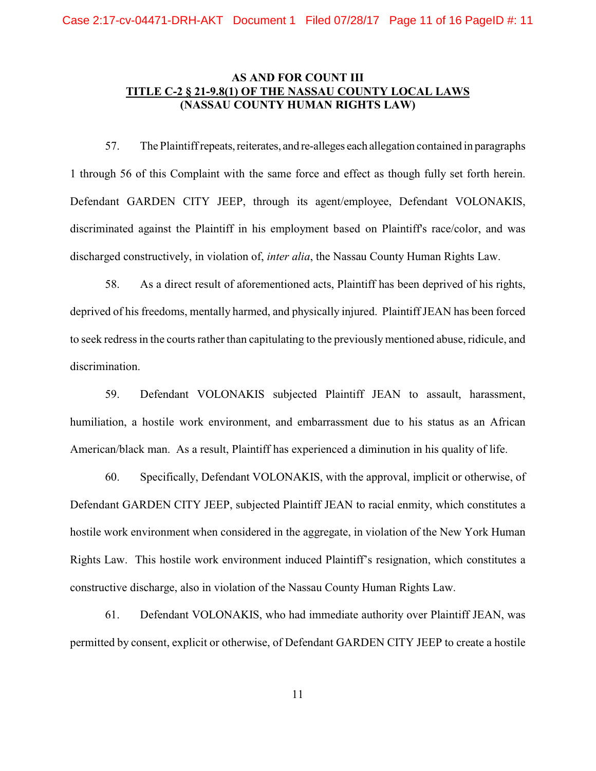## **AS AND FOR COUNT III TITLE C-2 § 21-9.8(1) OF THE NASSAU COUNTY LOCAL LAWS (NASSAU COUNTY HUMAN RIGHTS LAW)**

57. The Plaintiff repeats, reiterates, and re-alleges each allegation contained in paragraphs 1 through 56 of this Complaint with the same force and effect as though fully set forth herein. Defendant GARDEN CITY JEEP, through its agent/employee, Defendant VOLONAKIS, discriminated against the Plaintiff in his employment based on Plaintiff's race/color, and was discharged constructively, in violation of, *inter alia*, the Nassau County Human Rights Law.

58. As a direct result of aforementioned acts, Plaintiff has been deprived of his rights, deprived of his freedoms, mentally harmed, and physically injured. Plaintiff JEAN has been forced to seek redress in the courts rather than capitulating to the previously mentioned abuse, ridicule, and discrimination.

59. Defendant VOLONAKIS subjected Plaintiff JEAN to assault, harassment, humiliation, a hostile work environment, and embarrassment due to his status as an African American/black man. As a result, Plaintiff has experienced a diminution in his quality of life.

60. Specifically, Defendant VOLONAKIS, with the approval, implicit or otherwise, of Defendant GARDEN CITY JEEP, subjected Plaintiff JEAN to racial enmity, which constitutes a hostile work environment when considered in the aggregate, in violation of the New York Human Rights Law. This hostile work environment induced Plaintiff's resignation, which constitutes a constructive discharge, also in violation of the Nassau County Human Rights Law.

61. Defendant VOLONAKIS, who had immediate authority over Plaintiff JEAN, was permitted by consent, explicit or otherwise, of Defendant GARDEN CITY JEEP to create a hostile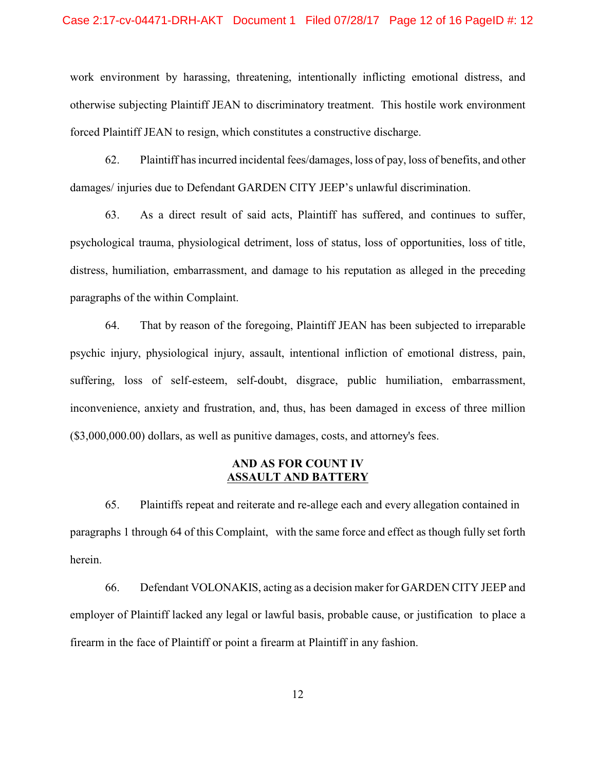#### Case 2:17-cv-04471-DRH-AKT Document 1 Filed 07/28/17 Page 12 of 16 PageID #: 12

work environment by harassing, threatening, intentionally inflicting emotional distress, and otherwise subjecting Plaintiff JEAN to discriminatory treatment. This hostile work environment forced Plaintiff JEAN to resign, which constitutes a constructive discharge.

62. Plaintiff has incurred incidental fees/damages, loss of pay, loss of benefits, and other damages/ injuries due to Defendant GARDEN CITY JEEP's unlawful discrimination.

63. As a direct result of said acts, Plaintiff has suffered, and continues to suffer, psychological trauma, physiological detriment, loss of status, loss of opportunities, loss of title, distress, humiliation, embarrassment, and damage to his reputation as alleged in the preceding paragraphs of the within Complaint.

64. That by reason of the foregoing, Plaintiff JEAN has been subjected to irreparable psychic injury, physiological injury, assault, intentional infliction of emotional distress, pain, suffering, loss of self-esteem, self-doubt, disgrace, public humiliation, embarrassment, inconvenience, anxiety and frustration, and, thus, has been damaged in excess of three million (\$3,000,000.00) dollars, as well as punitive damages, costs, and attorney's fees.

## **AND AS FOR COUNT IV ASSAULT AND BATTERY**

65. Plaintiffs repeat and reiterate and re-allege each and every allegation contained in paragraphs 1 through 64 of this Complaint, with the same force and effect as though fully set forth herein.

66. Defendant VOLONAKIS, acting as a decision maker for GARDEN CITY JEEP and employer of Plaintiff lacked any legal or lawful basis, probable cause, or justification to place a firearm in the face of Plaintiff or point a firearm at Plaintiff in any fashion.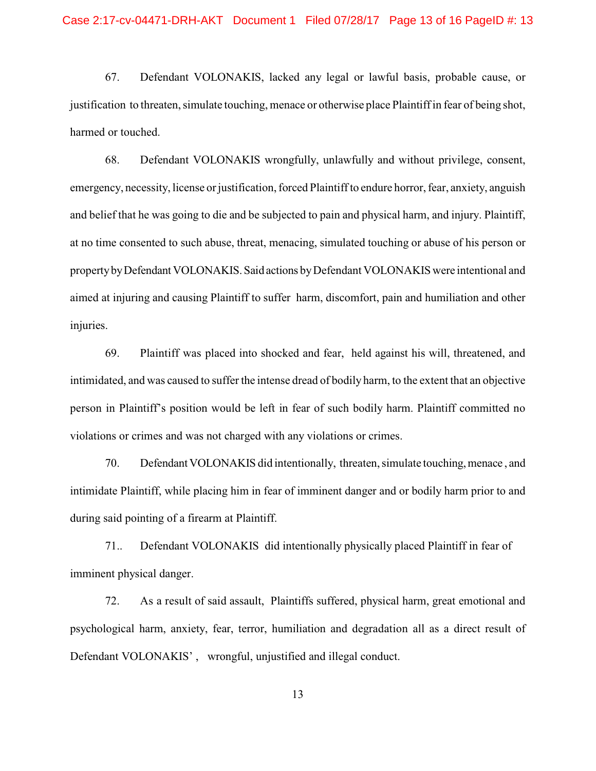67. Defendant VOLONAKIS, lacked any legal or lawful basis, probable cause, or justification to threaten, simulate touching, menace or otherwise place Plaintiff in fear of being shot, harmed or touched.

68. Defendant VOLONAKIS wrongfully, unlawfully and without privilege, consent, emergency, necessity, license or justification, forced Plaintiff to endure horror, fear, anxiety, anguish and belief that he was going to die and be subjected to pain and physical harm, and injury. Plaintiff, at no time consented to such abuse, threat, menacing, simulated touching or abuse of his person or property by Defendant VOLONAKIS. Said actions by Defendant VOLONAKIS were intentional and aimed at injuring and causing Plaintiff to suffer harm, discomfort, pain and humiliation and other injuries.

69. Plaintiff was placed into shocked and fear, held against his will, threatened, and intimidated, and was caused to suffer the intense dread of bodily harm, to the extent that an objective person in Plaintiff's position would be left in fear of such bodily harm. Plaintiff committed no violations or crimes and was not charged with any violations or crimes.

70. Defendant VOLONAKIS did intentionally, threaten, simulate touching, menace , and intimidate Plaintiff, while placing him in fear of imminent danger and or bodily harm prior to and during said pointing of a firearm at Plaintiff.

71.. Defendant VOLONAKIS did intentionally physically placed Plaintiff in fear of imminent physical danger.

72. As a result of said assault, Plaintiffs suffered, physical harm, great emotional and psychological harm, anxiety, fear, terror, humiliation and degradation all as a direct result of Defendant VOLONAKIS' , wrongful, unjustified and illegal conduct.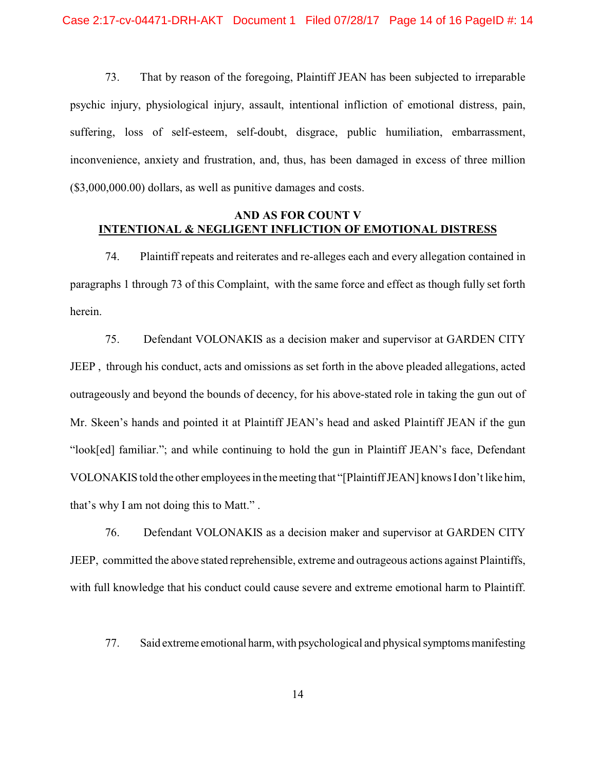73. That by reason of the foregoing, Plaintiff JEAN has been subjected to irreparable psychic injury, physiological injury, assault, intentional infliction of emotional distress, pain, suffering, loss of self-esteem, self-doubt, disgrace, public humiliation, embarrassment, inconvenience, anxiety and frustration, and, thus, has been damaged in excess of three million (\$3,000,000.00) dollars, as well as punitive damages and costs.

## **AND AS FOR COUNT V INTENTIONAL & NEGLIGENT INFLICTION OF EMOTIONAL DISTRESS**

74. Plaintiff repeats and reiterates and re-alleges each and every allegation contained in paragraphs 1 through 73 of this Complaint, with the same force and effect as though fully set forth herein.

75. Defendant VOLONAKIS as a decision maker and supervisor at GARDEN CITY JEEP , through his conduct, acts and omissions as set forth in the above pleaded allegations, acted outrageously and beyond the bounds of decency, for his above-stated role in taking the gun out of Mr. Skeen's hands and pointed it at Plaintiff JEAN's head and asked Plaintiff JEAN if the gun "look[ed] familiar."; and while continuing to hold the gun in Plaintiff JEAN's face, Defendant VOLONAKIS told the other employees in the meeting that "[Plaintiff JEAN] knows I don't like him, that's why I am not doing this to Matt." .

76. Defendant VOLONAKIS as a decision maker and supervisor at GARDEN CITY JEEP, committed the above stated reprehensible, extreme and outrageous actions against Plaintiffs, with full knowledge that his conduct could cause severe and extreme emotional harm to Plaintiff.

77. Said extreme emotional harm, with psychological and physical symptoms manifesting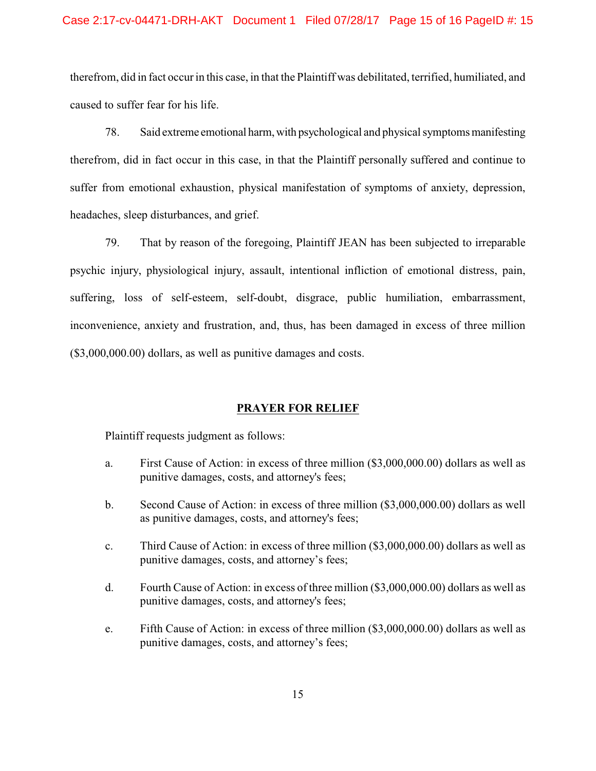#### Case 2:17-cv-04471-DRH-AKT Document 1 Filed 07/28/17 Page 15 of 16 PageID #: 15

therefrom, did in fact occur in this case, in that the Plaintiff was debilitated, terrified, humiliated, and caused to suffer fear for his life.

78. Said extreme emotional harm, with psychological and physical symptoms manifesting therefrom, did in fact occur in this case, in that the Plaintiff personally suffered and continue to suffer from emotional exhaustion, physical manifestation of symptoms of anxiety, depression, headaches, sleep disturbances, and grief.

79. That by reason of the foregoing, Plaintiff JEAN has been subjected to irreparable psychic injury, physiological injury, assault, intentional infliction of emotional distress, pain, suffering, loss of self-esteem, self-doubt, disgrace, public humiliation, embarrassment, inconvenience, anxiety and frustration, and, thus, has been damaged in excess of three million (\$3,000,000.00) dollars, as well as punitive damages and costs.

## **PRAYER FOR RELIEF**

Plaintiff requests judgment as follows:

- a. First Cause of Action: in excess of three million (\$3,000,000.00) dollars as well as punitive damages, costs, and attorney's fees;
- b. Second Cause of Action: in excess of three million (\$3,000,000.00) dollars as well as punitive damages, costs, and attorney's fees;
- c. Third Cause of Action: in excess of three million (\$3,000,000.00) dollars as well as punitive damages, costs, and attorney's fees;
- d. Fourth Cause of Action: in excess of three million (\$3,000,000.00) dollars as well as punitive damages, costs, and attorney's fees;
- e. Fifth Cause of Action: in excess of three million (\$3,000,000.00) dollars as well as punitive damages, costs, and attorney's fees;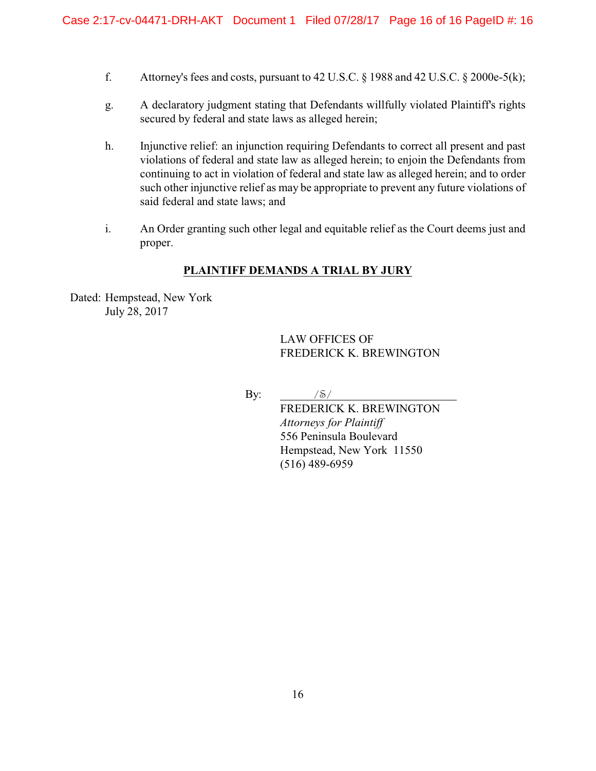- f. Attorney's fees and costs, pursuant to  $42$  U.S.C. § 1988 and  $42$  U.S.C. § 2000e-5(k);
- g. A declaratory judgment stating that Defendants willfully violated Plaintiff's rights secured by federal and state laws as alleged herein;
- h. Injunctive relief: an injunction requiring Defendants to correct all present and past violations of federal and state law as alleged herein; to enjoin the Defendants from continuing to act in violation of federal and state law as alleged herein; and to order such other injunctive relief as may be appropriate to prevent any future violations of said federal and state laws; and
- i. An Order granting such other legal and equitable relief as the Court deems just and proper.

## **PLAINTIFF DEMANDS A TRIAL BY JURY**

Dated: Hempstead, New York July 28, 2017

> LAW OFFICES OF FREDERICK K. BREWINGTON

By: */S/* 

FREDERICK K. BREWINGTON *Attorneys for Plaintiff* 556 Peninsula Boulevard Hempstead, New York 11550 (516) 489-6959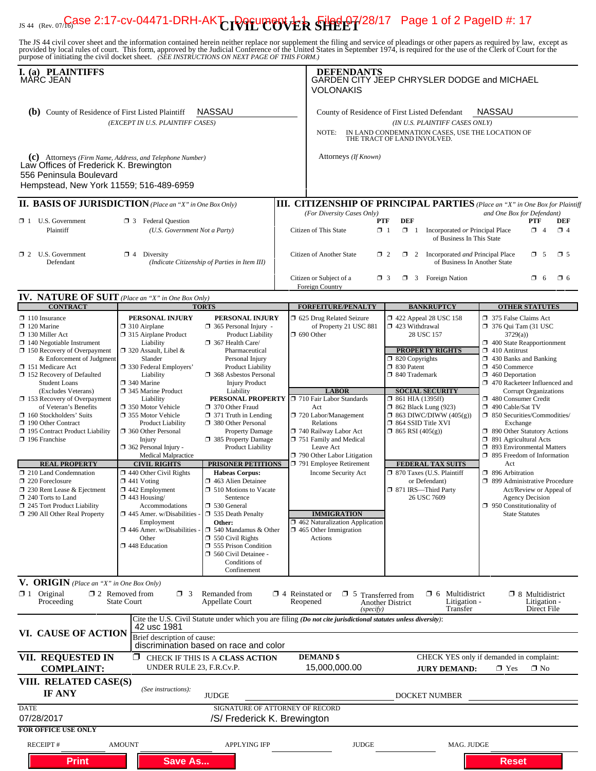# $_{\rm JS~44~(Rev. 07)}$ Gase 2:17-cv-04471-DRH-AK $\Upsilon$ IVIL COVER SHEET<sup>/28/17</sup> Page 1 of 2 PageID #: 17

The JS 44 civil cover sheet and the information contained herein neither replace nor supplement the filing and service of pleadings or other papers as required by law, except as provided by local rules of court. This form,

| I. (a) PLAINTIFFS<br>MÀRC JEAN<br><b>NASSAU</b><br><b>(b)</b> County of Residence of First Listed Plaintiff<br>(EXCEPT IN U.S. PLAINTIFF CASES)                                                                                                                                                                                                                                                                                                                                                                                                                                                                                                        |                                                                                                                                                                                                                                                                                                                                                                                                                                                                                                                                                                                                                                          |                                                                                                                                                                                                                                                                                                                                                                                                                                                                                                                                                                                                                                                                                                                                                  |                                    | <b>DEFENDANTS</b><br>GARDEN CITY JEEP CHRYSLER DODGE and MICHAEL<br>VOLONAKIS<br><b>NASSAU</b><br>County of Residence of First Listed Defendant<br>(IN U.S. PLAINTIFF CASES ONLY)<br>NOTE:<br>IN LAND CONDEMNATION CASES, USE THE LOCATION OF<br>THE TRACT OF LAND INVOLVED.                                                                                                              |                                                                                                                                                                                                                                                                                                                                                                                                                                                   |                                                                                                                                                                                                                                                                                                                                                                                                                                                                                                                                                                                                                                                                        |  |  |
|--------------------------------------------------------------------------------------------------------------------------------------------------------------------------------------------------------------------------------------------------------------------------------------------------------------------------------------------------------------------------------------------------------------------------------------------------------------------------------------------------------------------------------------------------------------------------------------------------------------------------------------------------------|------------------------------------------------------------------------------------------------------------------------------------------------------------------------------------------------------------------------------------------------------------------------------------------------------------------------------------------------------------------------------------------------------------------------------------------------------------------------------------------------------------------------------------------------------------------------------------------------------------------------------------------|--------------------------------------------------------------------------------------------------------------------------------------------------------------------------------------------------------------------------------------------------------------------------------------------------------------------------------------------------------------------------------------------------------------------------------------------------------------------------------------------------------------------------------------------------------------------------------------------------------------------------------------------------------------------------------------------------------------------------------------------------|------------------------------------|-------------------------------------------------------------------------------------------------------------------------------------------------------------------------------------------------------------------------------------------------------------------------------------------------------------------------------------------------------------------------------------------|---------------------------------------------------------------------------------------------------------------------------------------------------------------------------------------------------------------------------------------------------------------------------------------------------------------------------------------------------------------------------------------------------------------------------------------------------|------------------------------------------------------------------------------------------------------------------------------------------------------------------------------------------------------------------------------------------------------------------------------------------------------------------------------------------------------------------------------------------------------------------------------------------------------------------------------------------------------------------------------------------------------------------------------------------------------------------------------------------------------------------------|--|--|
|                                                                                                                                                                                                                                                                                                                                                                                                                                                                                                                                                                                                                                                        |                                                                                                                                                                                                                                                                                                                                                                                                                                                                                                                                                                                                                                          |                                                                                                                                                                                                                                                                                                                                                                                                                                                                                                                                                                                                                                                                                                                                                  |                                    |                                                                                                                                                                                                                                                                                                                                                                                           |                                                                                                                                                                                                                                                                                                                                                                                                                                                   |                                                                                                                                                                                                                                                                                                                                                                                                                                                                                                                                                                                                                                                                        |  |  |
| (c) Attorneys (Firm Name, Address, and Telephone Number)<br>Law Offices of Frederick K. Brewington<br>556 Peninsula Boulevard<br>Hempstead, New York 11559; 516-489-6959                                                                                                                                                                                                                                                                                                                                                                                                                                                                               |                                                                                                                                                                                                                                                                                                                                                                                                                                                                                                                                                                                                                                          |                                                                                                                                                                                                                                                                                                                                                                                                                                                                                                                                                                                                                                                                                                                                                  |                                    | Attorneys (If Known)                                                                                                                                                                                                                                                                                                                                                                      |                                                                                                                                                                                                                                                                                                                                                                                                                                                   |                                                                                                                                                                                                                                                                                                                                                                                                                                                                                                                                                                                                                                                                        |  |  |
| <b>II. BASIS OF JURISDICTION</b> (Place an "X" in One Box Only)                                                                                                                                                                                                                                                                                                                                                                                                                                                                                                                                                                                        |                                                                                                                                                                                                                                                                                                                                                                                                                                                                                                                                                                                                                                          |                                                                                                                                                                                                                                                                                                                                                                                                                                                                                                                                                                                                                                                                                                                                                  |                                    |                                                                                                                                                                                                                                                                                                                                                                                           |                                                                                                                                                                                                                                                                                                                                                                                                                                                   | <b>III. CITIZENSHIP OF PRINCIPAL PARTIES</b> (Place an "X" in One Box for Plaintiff                                                                                                                                                                                                                                                                                                                                                                                                                                                                                                                                                                                    |  |  |
| $\Box$ 1 U.S. Government<br>Plaintiff                                                                                                                                                                                                                                                                                                                                                                                                                                                                                                                                                                                                                  | $\mathbf{\mathbf{\geq} 3}$ Federal Question<br>(U.S. Government Not a Party)                                                                                                                                                                                                                                                                                                                                                                                                                                                                                                                                                             |                                                                                                                                                                                                                                                                                                                                                                                                                                                                                                                                                                                                                                                                                                                                                  |                                    | and One Box for Defendant)<br>(For Diversity Cases Only)<br><b>DEF</b><br>PTF<br><b>PTF</b><br><b>DEF</b><br>$\Box$ 4<br>Citizen of This State<br>$\Box$ 1<br>$\Box$ 1<br>Incorporated or Principal Place<br>$\Box$ 4<br>of Business In This State                                                                                                                                        |                                                                                                                                                                                                                                                                                                                                                                                                                                                   |                                                                                                                                                                                                                                                                                                                                                                                                                                                                                                                                                                                                                                                                        |  |  |
| $\Box$ 2 U.S. Government<br>Defendant                                                                                                                                                                                                                                                                                                                                                                                                                                                                                                                                                                                                                  | $\Box$ 4 Diversity                                                                                                                                                                                                                                                                                                                                                                                                                                                                                                                                                                                                                       | (Indicate Citizenship of Parties in Item III)                                                                                                                                                                                                                                                                                                                                                                                                                                                                                                                                                                                                                                                                                                    |                                    | Citizen of Another State<br>$\Box$ 2<br>2 Incorporated and Principal Place<br>$\Box$ 5<br>$\square$ 5<br>of Business In Another State<br>$\Box$ 3 Foreign Nation<br>$\Box$ 6<br>Citizen or Subject of a<br>$\Box$ 3<br>$\Box$ 6                                                                                                                                                           |                                                                                                                                                                                                                                                                                                                                                                                                                                                   |                                                                                                                                                                                                                                                                                                                                                                                                                                                                                                                                                                                                                                                                        |  |  |
|                                                                                                                                                                                                                                                                                                                                                                                                                                                                                                                                                                                                                                                        |                                                                                                                                                                                                                                                                                                                                                                                                                                                                                                                                                                                                                                          |                                                                                                                                                                                                                                                                                                                                                                                                                                                                                                                                                                                                                                                                                                                                                  |                                    | Foreign Country                                                                                                                                                                                                                                                                                                                                                                           |                                                                                                                                                                                                                                                                                                                                                                                                                                                   |                                                                                                                                                                                                                                                                                                                                                                                                                                                                                                                                                                                                                                                                        |  |  |
| <b>IV. NATURE OF SUIT</b> (Place an "X" in One Box Only)<br><b>CONTRACT</b>                                                                                                                                                                                                                                                                                                                                                                                                                                                                                                                                                                            |                                                                                                                                                                                                                                                                                                                                                                                                                                                                                                                                                                                                                                          | <b>TORTS</b>                                                                                                                                                                                                                                                                                                                                                                                                                                                                                                                                                                                                                                                                                                                                     |                                    | <b>FORFEITURE/PENALTY</b>                                                                                                                                                                                                                                                                                                                                                                 | <b>BANKRUPTCY</b>                                                                                                                                                                                                                                                                                                                                                                                                                                 | <b>OTHER STATUTES</b>                                                                                                                                                                                                                                                                                                                                                                                                                                                                                                                                                                                                                                                  |  |  |
| $\Box$ 110 Insurance<br>$\Box$ 120 Marine<br>$\Box$ 130 Miller Act<br>$\Box$ 140 Negotiable Instrument<br>$\Box$ 150 Recovery of Overpayment<br>& Enforcement of Judgment<br>□ 151 Medicare Act<br>152 Recovery of Defaulted<br><b>Student Loans</b><br>(Excludes Veterans)<br>$\Box$ 153 Recovery of Overpayment<br>of Veteran's Benefits<br>$\Box$ 160 Stockholders' Suits<br>190 Other Contract<br>□ 195 Contract Product Liability<br>$\Box$ 196 Franchise<br><b>REAL PROPERTY</b><br>210 Land Condemnation<br>220 Foreclosure<br>□ 230 Rent Lease & Ejectment<br>□ 240 Torts to Land<br>245 Tort Product Liability<br>290 All Other Real Property | PERSONAL INJURY<br>$\Box$ 310 Airplane<br>□ 315 Airplane Product<br>Liability<br>$\Box$ 320 Assault, Libel &<br>Slander<br>□ 330 Federal Employers'<br>Liability<br>340 Marine<br>345 Marine Product<br>Liability<br>□ 350 Motor Vehicle<br>□ 355 Motor Vehicle<br><b>Product Liability</b><br>360 Other Personal<br>Injury<br>$\Box$ 362 Personal Injury -<br>Medical Malpractice<br><b>CIVIL RIGHTS</b><br>440 Other Civil Rights<br>$\Box$ 441 Voting<br>$\Box$ 442 Employment<br>$\Box$ 443 Housing/<br>Accommodations<br>$\Box$ 445 Amer. w/Disabilities<br>Employment<br>$\Box$ 446 Amer. w/Disabilities<br>Other<br>448 Education | PERSONAL INJURY<br>$\Box$ 365 Personal Injury -<br><b>Product Liability</b><br>367 Health Care/<br>Pharmaceutical<br>Personal Injury<br><b>Product Liability</b><br>368 Asbestos Personal<br><b>Injury Product</b><br>Liability<br>PERSONAL PROPERTY   710 Fair Labor Standards<br>370 Other Fraud<br>$\Box$ 371 Truth in Lending<br>380 Other Personal<br><b>Property Damage</b><br>385 Property Damage<br><b>Product Liability</b><br><b>PRISONER PETITIONS</b><br><b>Habeas Corpus:</b><br>463 Alien Detainee<br>□ 510 Motions to Vacate<br>Sentence<br>□ 530 General<br>$\Box$ 535 Death Penalty<br>Other:<br>$\Box$ 540 Mandamus & Other<br>$\Box$ 550 Civil Rights<br><b>355 Prison Condition</b><br>560 Civil Detainee -<br>Conditions of |                                    | 5 625 Drug Related Seizure<br>of Property 21 USC 881<br>$\Box$ 690 Other<br><b>LABOR</b><br>Act<br>720 Labor/Management<br>Relations<br>740 Railway Labor Act<br>751 Family and Medical<br>Leave Act<br>790 Other Labor Litigation<br>791 Employee Retirement<br>Income Security Act<br><b>IMMIGRATION</b><br>$\Box$ 462 Naturalization Application<br>1 465 Other Immigration<br>Actions | 1422 Appeal 28 USC 158<br>$\Box$ 423 Withdrawal<br>28 USC 157<br><b>PROPERTY RIGHTS</b><br>$\Box$ 820 Copyrights<br>□ 830 Patent<br>□ 840 Trademark<br><b>SOCIAL SECURITY</b><br>$\Box$ 861 HIA (1395ff)<br><b>1 862 Black Lung (923)</b><br>$\Box$ 863 DIWC/DIWW (405(g))<br>□ 864 SSID Title XVI<br>$\Box$ 865 RSI (405(g))<br><b>FEDERAL TAX SUITS</b><br>□ 870 Taxes (U.S. Plaintiff<br>or Defendant)<br>□ 871 IRS-Third Party<br>26 USC 7609 | 375 False Claims Act<br>$\Box$ 376 Qui Tam (31 USC)<br>3729(a)<br>400 State Reapportionment<br>$\Box$ 410 Antitrust<br>$\Box$ 430 Banks and Banking<br>$\Box$ 450 Commerce<br>$\Box$ 460 Deportation<br>470 Racketeer Influenced and<br><b>Corrupt Organizations</b><br>480 Consumer Credit<br>□ 490 Cable/Sat TV<br>□ 850 Securities/Commodities/<br>Exchange<br>□ 890 Other Statutory Actions<br>□ 891 Agricultural Acts<br>□ 893 Environmental Matters<br>$\Box$ 895 Freedom of Information<br>Act<br>7 896 Arbitration<br>□ 899 Administrative Procedure<br>Act/Review or Appeal of<br>Agency Decision<br>$\Box$ 950 Constitutionality of<br><b>State Statutes</b> |  |  |
| V. ORIGIN (Place an "X" in One Box Only)<br>$\mathbf{X}$ 1 Original<br>Proceeding                                                                                                                                                                                                                                                                                                                                                                                                                                                                                                                                                                      | $\Box$ 2 Removed from<br>$\Box$ 3<br><b>State Court</b>                                                                                                                                                                                                                                                                                                                                                                                                                                                                                                                                                                                  | Confinement<br>Remanded from<br><b>Appellate Court</b>                                                                                                                                                                                                                                                                                                                                                                                                                                                                                                                                                                                                                                                                                           | $\Box$ 4 Reinstated or<br>Reopened | $\Box$ 5 Transferred from                                                                                                                                                                                                                                                                                                                                                                 | $\Box$ 6 Multidistrict<br>Litigation -<br><b>Another District</b>                                                                                                                                                                                                                                                                                                                                                                                 | $\Box$ 8 Multidistrict<br>Litigation -                                                                                                                                                                                                                                                                                                                                                                                                                                                                                                                                                                                                                                 |  |  |
|                                                                                                                                                                                                                                                                                                                                                                                                                                                                                                                                                                                                                                                        |                                                                                                                                                                                                                                                                                                                                                                                                                                                                                                                                                                                                                                          |                                                                                                                                                                                                                                                                                                                                                                                                                                                                                                                                                                                                                                                                                                                                                  |                                    | (specify)<br>Cite the U.S. Civil Statute under which you are filing (Do not cite jurisdictional statutes unless diversity):                                                                                                                                                                                                                                                               | Transfer                                                                                                                                                                                                                                                                                                                                                                                                                                          | Direct File                                                                                                                                                                                                                                                                                                                                                                                                                                                                                                                                                                                                                                                            |  |  |
| VI. CAUSE OF ACTION                                                                                                                                                                                                                                                                                                                                                                                                                                                                                                                                                                                                                                    | 42 usc 1981<br>Brief description of cause:                                                                                                                                                                                                                                                                                                                                                                                                                                                                                                                                                                                               | discrimination based on race and color                                                                                                                                                                                                                                                                                                                                                                                                                                                                                                                                                                                                                                                                                                           |                                    |                                                                                                                                                                                                                                                                                                                                                                                           |                                                                                                                                                                                                                                                                                                                                                                                                                                                   |                                                                                                                                                                                                                                                                                                                                                                                                                                                                                                                                                                                                                                                                        |  |  |
| VII. REQUESTED IN<br><b>COMPLAINT:</b>                                                                                                                                                                                                                                                                                                                                                                                                                                                                                                                                                                                                                 | UNDER RULE 23, F.R.Cv.P.                                                                                                                                                                                                                                                                                                                                                                                                                                                                                                                                                                                                                 | $\Box$ CHECK IF THIS IS A CLASS ACTION                                                                                                                                                                                                                                                                                                                                                                                                                                                                                                                                                                                                                                                                                                           |                                    | <b>DEMAND \$</b><br>15,000,000.00                                                                                                                                                                                                                                                                                                                                                         | <b>JURY DEMAND:</b>                                                                                                                                                                                                                                                                                                                                                                                                                               | CHECK YES only if demanded in complaint:<br>$\boxtimes$ Yes<br>$\square$ No                                                                                                                                                                                                                                                                                                                                                                                                                                                                                                                                                                                            |  |  |
| VIII. RELATED CASE(S)<br>IF ANY                                                                                                                                                                                                                                                                                                                                                                                                                                                                                                                                                                                                                        | (See instructions):                                                                                                                                                                                                                                                                                                                                                                                                                                                                                                                                                                                                                      | <b>JUDGE</b>                                                                                                                                                                                                                                                                                                                                                                                                                                                                                                                                                                                                                                                                                                                                     |                                    |                                                                                                                                                                                                                                                                                                                                                                                           | DOCKET NUMBER                                                                                                                                                                                                                                                                                                                                                                                                                                     |                                                                                                                                                                                                                                                                                                                                                                                                                                                                                                                                                                                                                                                                        |  |  |
| <b>DATE</b><br>07/28/2017                                                                                                                                                                                                                                                                                                                                                                                                                                                                                                                                                                                                                              |                                                                                                                                                                                                                                                                                                                                                                                                                                                                                                                                                                                                                                          | SIGNATURE OF ATTORNEY OF RECORD<br>/S/ Frederick K. Brewington                                                                                                                                                                                                                                                                                                                                                                                                                                                                                                                                                                                                                                                                                   |                                    |                                                                                                                                                                                                                                                                                                                                                                                           |                                                                                                                                                                                                                                                                                                                                                                                                                                                   |                                                                                                                                                                                                                                                                                                                                                                                                                                                                                                                                                                                                                                                                        |  |  |
| <b>FOR OFFICE USE ONLY</b>                                                                                                                                                                                                                                                                                                                                                                                                                                                                                                                                                                                                                             |                                                                                                                                                                                                                                                                                                                                                                                                                                                                                                                                                                                                                                          |                                                                                                                                                                                                                                                                                                                                                                                                                                                                                                                                                                                                                                                                                                                                                  |                                    |                                                                                                                                                                                                                                                                                                                                                                                           |                                                                                                                                                                                                                                                                                                                                                                                                                                                   |                                                                                                                                                                                                                                                                                                                                                                                                                                                                                                                                                                                                                                                                        |  |  |
| <b>RECEIPT#</b><br><b>Print</b>                                                                                                                                                                                                                                                                                                                                                                                                                                                                                                                                                                                                                        | <b>AMOUNT</b><br><b>Save As</b>                                                                                                                                                                                                                                                                                                                                                                                                                                                                                                                                                                                                          | <b>APPLYING IFP</b>                                                                                                                                                                                                                                                                                                                                                                                                                                                                                                                                                                                                                                                                                                                              |                                    | <b>JUDGE</b>                                                                                                                                                                                                                                                                                                                                                                              | MAG. JUDGE                                                                                                                                                                                                                                                                                                                                                                                                                                        | <b>Reset</b>                                                                                                                                                                                                                                                                                                                                                                                                                                                                                                                                                                                                                                                           |  |  |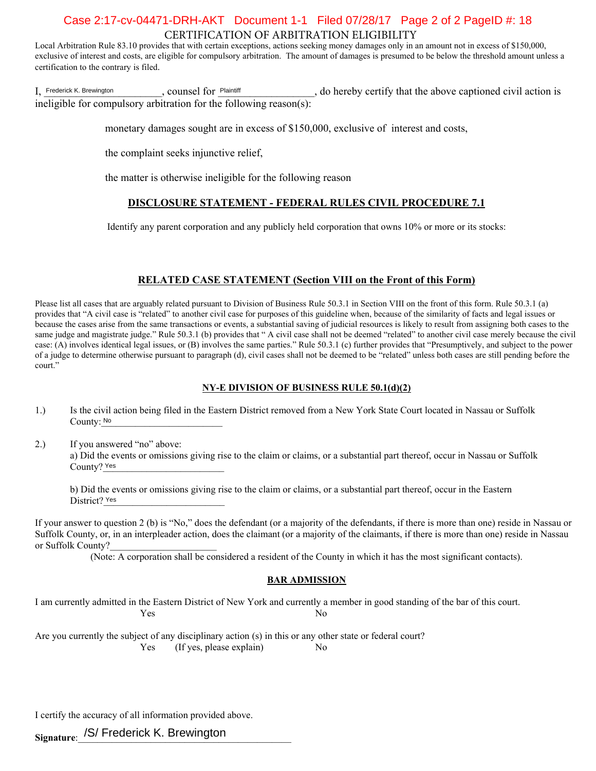## CERTIFICATION OF ARBITRATION ELIGIBILITY Case 2:17-cv-04471-DRH-AKT Document 1-1 Filed 07/28/17 Page 2 of 2 PageID #: 18

Local Arbitration Rule 83.10 provides that with certain exceptions, actions seeking money damages only in an amount not in excess of \$150,000, exclusive of interest and costs, are eligible for compulsory arbitration. The amount of damages is presumed to be below the threshold amount unless a certification to the contrary is filed.

I, Frederick K. Brewington entity counsel for <u>Plaintiff</u> entity, do hereby certify that the above captioned civil action is ineligible for compulsory arbitration for the following reason(s): Frederick K. Brewington **Process** COUNSel for Plaintiff

- 冈 monetary damages sought are in excess of \$150,000, exclusive of interest and costs,
- $\Box$ the complaint seeks injunctive relief,
- $\Box$ the matter is otherwise ineligible for the following reason

#### **DISCLOSURE STATEMENT - FEDERAL RULES CIVIL PROCEDURE 7.1**

Identify any parent corporation and any publicly held corporation that owns 10% or more or its stocks:

#### **RELATED CASE STATEMENT (Section VIII on the Front of this Form)**

Please list all cases that are arguably related pursuant to Division of Business Rule 50.3.1 in Section VIII on the front of this form. Rule 50.3.1 (a) provides that "A civil case is "related" to another civil case for purposes of this guideline when, because of the similarity of facts and legal issues or because the cases arise from the same transactions or events, a substantial saving of judicial resources is likely to result from assigning both cases to the same judge and magistrate judge." Rule 50.3.1 (b) provides that " A civil case shall not be deemed "related" to another civil case merely because the civil case: (A) involves identical legal issues, or (B) involves the same parties." Rule 50.3.1 (c) further provides that "Presumptively, and subject to the power of a judge to determine otherwise pursuant to paragraph (d), civil cases shall not be deemed to be "related" unless both cases are still pending before the court."

#### **NY-E DIVISION OF BUSINESS RULE 50.1(d)(2)**

- 1.) Is the civil action being filed in the Eastern District removed from a New York State Court located in Nassau or Suffolk County: No
- 2.) If you answered "no" above: a) Did the events or omissions giving rise to the claim or claims, or a substantial part thereof, occur in Nassau or Suffolk County? Yes No<br>ISW<br>Ie e<br>Yes

b) Did the events or omissions giving rise to the claim or claims, or a substantial part thereof, occur in the Eastern District? Yes

If your answer to question 2 (b) is "No," does the defendant (or a majority of the defendants, if there is more than one) reside in Nassau or Suffolk County, or, in an interpleader action, does the claimant (or a majority of the claimants, if there is more than one) reside in Nassau or Suffolk County?

(Note: A corporation shall be considered a resident of the County in which it has the most significant contacts).

#### **BAR ADMISSION**

I am currently admitted in the Eastern District of New York and currently a member in good standing of the bar of this court.  $\mathsf{X}$ Yes No

Are you currently the subject of any disciplinary action (s) in this or any other state or federal court? Yes (If yes, please explain)  $|\mathbf{\nabla}|$  No

I certify the accuracy of all information provided above.

**Signature**:\_\_\_\_\_\_\_\_\_\_\_\_\_\_\_\_\_\_\_\_\_\_\_\_\_\_\_\_\_\_\_\_\_\_\_\_\_\_\_\_\_\_\_\_ /S/ Frederick K. Brewington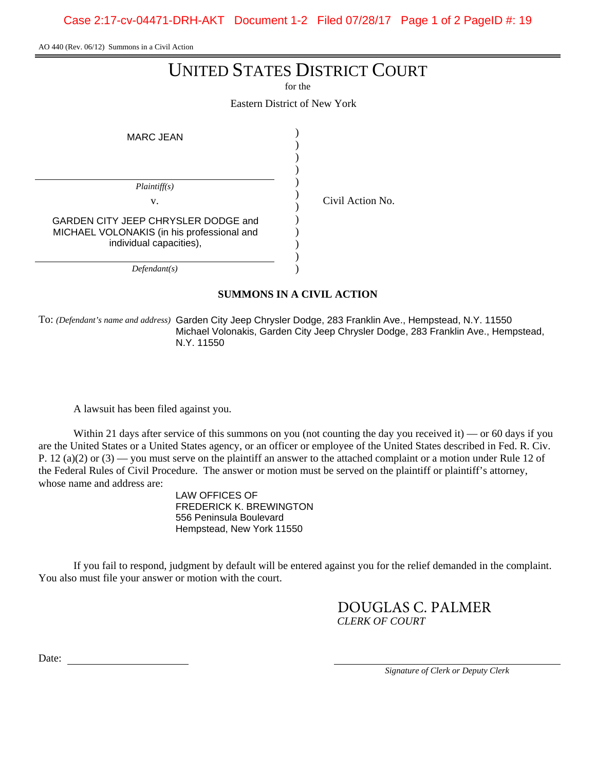Case 2:17-cv-04471-DRH-AKT Document 1-2 Filed 07/28/17 Page 1 of 2 PageID #: 19

AO 440 (Rev. 06/12) Summons in a Civil Action

## UNITED STATES DISTRICT COURT

for the

Eastern District of New York

| MARC JEAN                                                                                                    |  |  |  |
|--------------------------------------------------------------------------------------------------------------|--|--|--|
|                                                                                                              |  |  |  |
| Plaintiff(s)                                                                                                 |  |  |  |
| V.                                                                                                           |  |  |  |
| GARDEN CITY JEEP CHRYSLER DODGE and<br>MICHAEL VOLONAKIS (in his professional and<br>individual capacities), |  |  |  |
| Defendant(s)                                                                                                 |  |  |  |

Civil Action No.

## **SUMMONS IN A CIVIL ACTION**

To: *(Defendant's name and address)* Garden City Jeep Chrysler Dodge, 283 Franklin Ave., Hempstead, N.Y. 11550 Michael Volonakis, Garden City Jeep Chrysler Dodge, 283 Franklin Ave., Hempstead,

A lawsuit has been filed against you.

Within 21 days after service of this summons on you (not counting the day you received it) — or 60 days if you are the United States or a United States agency, or an officer or employee of the United States described in Fed. R. Civ. P. 12 (a)(2) or  $(3)$  — you must serve on the plaintiff an answer to the attached complaint or a motion under Rule 12 of the Federal Rules of Civil Procedure. The answer or motion must be served on the plaintiff or plaintiff's attorney, whose name and address are: N.Y. 11550<br>l against you.<br>vice of this summor<br>l States agency, or a<br>lerve on the plaintiff<br>dure. The answer o<br>LAW OFFICES OF

FREDERICK K. BREWINGTON 556 Peninsula Boulevard Hempstead, New York 11550

If you fail to respond, judgment by default will be entered against you for the relief demanded in the complaint. You also must file your answer or motion with the court.

> *CLERK OF COURT* DOUGLAS C. PALMER

Date:

*Signature of Clerk or Deputy Clerk*